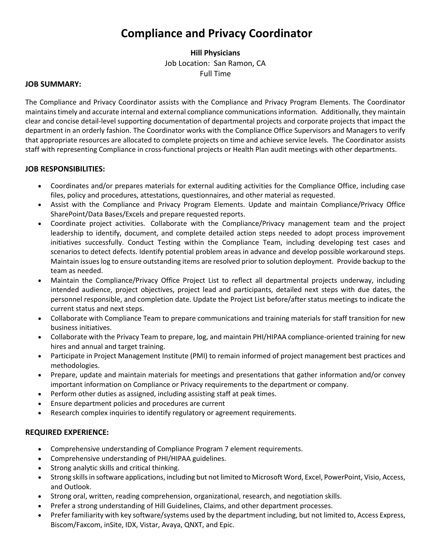# **Compliance and Privacy Coordinator**

## **Hill Physicians** Job Location: San Ramon, CA Full Time

#### **JOB SUMMARY:**

The Compliance and Privacy Coordinator assists with the Compliance and Privacy Program Elements. The Coordinator maintains timely and accurate internal and external compliance communications information. Additionally, they maintain clear and concise detail-level supporting documentation of departmental projects and corporate projects that impact the department in an orderly fashion. The Coordinator works with the Compliance Office Supervisors and Managers to verify that appropriate resources are allocated to complete projects on time and achieve service levels. The Coordinator assists staff with representing Compliance in cross-functional projects or Health Plan audit meetings with other departments.

## **JOB RESPONSIBILITIES:**

- Coordinates and/or prepares materials for external auditing activities for the Compliance Office, including case files, policy and procedures, attestations, questionnaires, and other material as requested.
- Assist with the Compliance and Privacy Program Elements. Update and maintain Compliance/Privacy Office SharePoint/Data Bases/Excels and prepare requested reports.
- Coordinate project activities. Collaborate with the Compliance/Privacy management team and the project leadership to identify, document, and complete detailed action steps needed to adopt process improvement initiatives successfully. Conduct Testing within the Compliance Team, including developing test cases and scenarios to detect defects. Identify potential problem areas in advance and develop possible workaround steps. Maintain issues log to ensure outstanding items are resolved prior to solution deployment. Provide backup to the team as needed.
- Maintain the Compliance/Privacy Office Project List to reflect all departmental projects underway, including intended audience, project objectives, project lead and participants, detailed next steps with due dates, the personnel responsible, and completion date. Update the Project List before/after status meetings to indicate the current status and next steps.
- Collaborate with Compliance Team to prepare communications and training materials for staff transition for new business initiatives.
- Collaborate with the Privacy Team to prepare, log, and maintain PHI/HIPAA compliance-oriented training for new hires and annual and target training.
- Participate in Project Management Institute (PMI) to remain informed of project management best practices and methodologies.
- Prepare, update and maintain materials for meetings and presentations that gather information and/or convey important information on Compliance or Privacy requirements to the department or company.
- Perform other duties as assigned, including assisting staff at peak times.
- Ensure department policies and procedures are current
- Research complex inquiries to identify regulatory or agreement requirements.

#### **REQUIRED EXPERIENCE:**

- Comprehensive understanding of Compliance Program 7 element requirements.
- Comprehensive understanding of PHI/HIPAA guidelines.
- Strong analytic skills and critical thinking.
- Strong skills in software applications, including but not limited to Microsoft Word, Excel, PowerPoint, Visio, Access, and Outlook.
- Strong oral, written, reading comprehension, organizational, research, and negotiation skills.
- Prefer a strong understanding of Hill Guidelines, Claims, and other department processes.
- Prefer familiarity with key software/systems used by the department including, but not limited to, Access Express, Biscom/Faxcom, inSite, IDX, Vistar, Avaya, QNXT, and Epic.